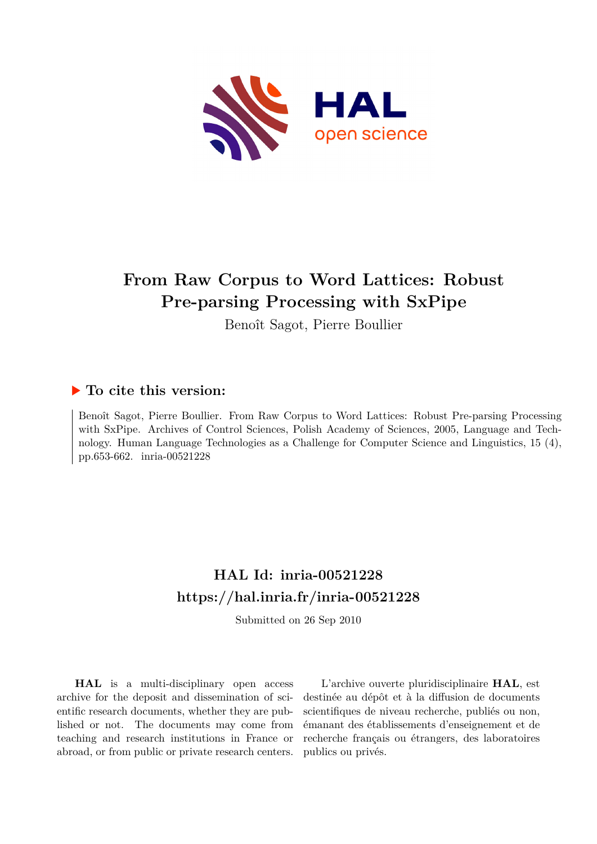

# **From Raw Corpus to Word Lattices: Robust Pre-parsing Processing with SxPipe**

Benoît Sagot, Pierre Boullier

## **To cite this version:**

Benoît Sagot, Pierre Boullier. From Raw Corpus to Word Lattices: Robust Pre-parsing Processing with SxPipe. Archives of Control Sciences, Polish Academy of Sciences, 2005, Language and Technology. Human Language Technologies as a Challenge for Computer Science and Linguistics, 15 (4), pp.653-662. inria-00521228

# **HAL Id: inria-00521228 <https://hal.inria.fr/inria-00521228>**

Submitted on 26 Sep 2010

**HAL** is a multi-disciplinary open access archive for the deposit and dissemination of scientific research documents, whether they are published or not. The documents may come from teaching and research institutions in France or abroad, or from public or private research centers.

L'archive ouverte pluridisciplinaire **HAL**, est destinée au dépôt et à la diffusion de documents scientifiques de niveau recherche, publiés ou non, émanant des établissements d'enseignement et de recherche français ou étrangers, des laboratoires publics ou privés.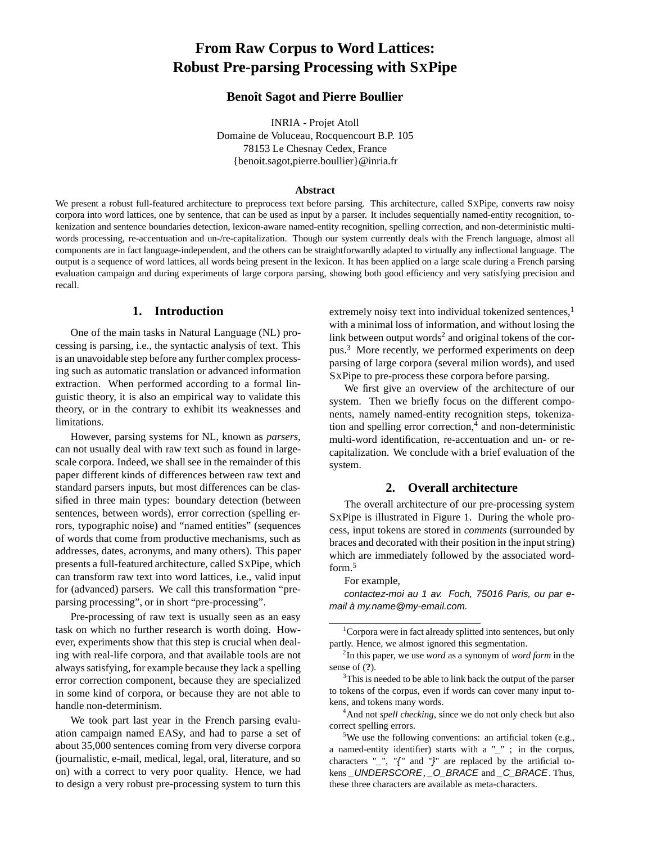## **From Raw Corpus to Word Lattices: Robust Pre-parsing Processing with SXPipe**

## **Benoît Sagot and Pierre Boullier**

INRIA - Projet Atoll Domaine de Voluceau, Rocquencourt B.P. 105 78153 Le Chesnay Cedex, France {benoit.sagot,pierre.boullier}@inria.fr

#### **Abstract**

We present a robust full-featured architecture to preprocess text before parsing. This architecture, called SXPipe, converts raw noisy corpora into word lattices, one by sentence, that can be used as input by a parser. It includes sequentially named-entity recognition, tokenization and sentence boundaries detection, lexicon-aware named-entity recognition, spelling correction, and non-deterministic multiwords processing, re-accentuation and un-/re-capitalization. Though our system currently deals with the French language, almost all components are in fact language-independent, and the others can be straightforwardly adapted to virtually any inflectional language. The output is a sequence of word lattices, all words being present in the lexicon. It has been applied on a large scale during a French parsing evaluation campaign and during experiments of large corpora parsing, showing both good efficiency and very satisfying precision and recall.

## **1. Introduction**

One of the main tasks in Natural Language (NL) processing is parsing, i.e., the syntactic analysis of text. This is an unavoidable step before any further complex processing such as automatic translation or advanced information extraction. When performed according to a formal linguistic theory, it is also an empirical way to validate this theory, or in the contrary to exhibit its weaknesses and limitations.

However, parsing systems for NL, known as *parsers*, can not usually deal with raw text such as found in largescale corpora. Indeed, we shall see in the remainder of this paper different kinds of differences between raw text and standard parsers inputs, but most differences can be classified in three main types: boundary detection (between sentences, between words), error correction (spelling errors, typographic noise) and "named entities" (sequences of words that come from productive mechanisms, such as addresses, dates, acronyms, and many others). This paper presents a full-featured architecture, called SXPipe, which can transform raw text into word lattices, i.e., valid input for (advanced) parsers. We call this transformation "preparsing processing", or in short "pre-processing".

Pre-processing of raw text is usually seen as an easy task on which no further research is worth doing. However, experiments show that this step is crucial when dealing with real-life corpora, and that available tools are not always satisfying, for example because they lack a spelling error correction component, because they are specialized in some kind of corpora, or because they are not able to handle non-determinism.

We took part last year in the French parsing evaluation campaign named EASy, and had to parse a set of about 35,000 sentences coming from very diverse corpora (journalistic, e-mail, medical, legal, oral, literature, and so on) with a correct to very poor quality. Hence, we had to design a very robust pre-processing system to turn this extremely noisy text into individual tokenized sentences,<sup>1</sup> with a minimal loss of information, and without losing the link between output words<sup>2</sup> and original tokens of the corpus.<sup>3</sup> More recently, we performed experiments on deep parsing of large corpora (several milion words), and used SXPipe to pre-process these corpora before parsing.

We first give an overview of the architecture of our system. Then we briefly focus on the different components, namely named-entity recognition steps, tokenization and spelling error correction,<sup>4</sup> and non-deterministic multi-word identification, re-accentuation and un- or recapitalization. We conclude with a brief evaluation of the system.

### **2. Overall architecture**

The overall architecture of our pre-processing system SXPipe is illustrated in Figure 1. During the whole process, input tokens are stored in *comments* (surrounded by braces and decorated with their position in the input string) which are immediately followed by the associated wordform.<sup>5</sup>

#### For example,

contactez-moi au 1 av. Foch, 75016 Paris, ou par email à my.name@my-email.com.

<sup>4</sup>And not *spell checking*, since we do not only check but also correct spelling errors.

 $1$ Corpora were in fact already splitted into sentences, but only partly. Hence, we almost ignored this segmentation.

<sup>2</sup> In this paper, we use *word* as a synonym of *word form* in the sense of (**?**).

 $3$ This is needed to be able to link back the output of the parser to tokens of the corpus, even if words can cover many input tokens, and tokens many words.

<sup>&</sup>lt;sup>5</sup>We use the following conventions: an artificial token (e.g., a named-entity identifier) starts with a "\_" ; in the corpus, characters  $"$ ,  $"$ ,  $"$  and  $"$ }" are replaced by the artificial tokens \_UNDERSCORE, \_O\_BRACE and \_C\_BRACE. Thus, these three characters are available as meta-characters.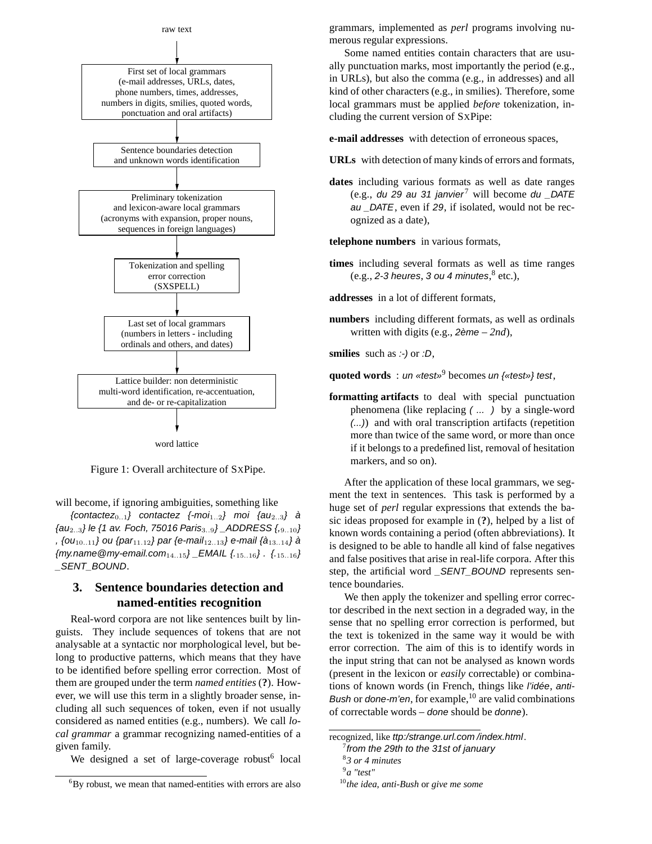

Figure 1: Overall architecture of SXPipe.

will become, if ignoring ambiguities, something like

{contactez<sub>0..1</sub>} contactez {-moi<sub>1..2</sub>} moi {au<sub>2..3</sub>} à  ${au_{2..3}}$  le {1 av. Foch, 75016 Paris<sub>3..9</sub>} \_ADDRESS  ${, 9..10}$ , {0 $u_{10..11}$ } ou {par<sub>11.12</sub>} par {e-mail<sub>12..13</sub>} e-mail {à<sub>13..14</sub>} à  ${m$ *n* me @my-email.com<sub>14..15</sub>} \_EMAIL  ${1,15,16}$ .  ${1,15,16}$ \_SENT\_BOUND.

## **3. Sentence boundaries detection and named-entities recognition**

Real-word corpora are not like sentences built by linguists. They include sequences of tokens that are not analysable at a syntactic nor morphological level, but belong to productive patterns, which means that they have to be identified before spelling error correction. Most of them are grouped under the term *named entities* (**?**). However, we will use this term in a slightly broader sense, including all such sequences of token, even if not usually considered as named entities (e.g., numbers). We call *local grammar* a grammar recognizing named-entities of a given family.

We designed a set of large-coverage robust<sup>6</sup> local

grammars, implemented as *perl* programs involving numerous regular expressions.

Some named entities contain characters that are usually punctuation marks, most importantly the period (e.g., in URLs), but also the comma (e.g., in addresses) and all kind of other characters (e.g., in smilies). Therefore, some local grammars must be applied *before* tokenization, including the current version of SXPipe:

**e-mail addresses** with detection of erroneous spaces,

- **URLs** with detection of many kinds of errors and formats,
- **dates** including various formats as well as date ranges (e.g., du 29 au 31 janvier<sup>7</sup> will become du \_DATE au \_DATE, even if 29, if isolated, would not be recognized as a date),

**telephone numbers** in various formats,

**times** including several formats as well as time ranges (e.g., 2-3 heures, 3 ou 4 minutes, $8$  etc.),

**addresses** in a lot of different formats,

**numbers** including different formats, as well as ordinals written with digits (e.g., 2ème – *2nd*),

**smilies** such as :-) or :D,

**quoted words** : un «test»<sup>9</sup> becomes un {«test»} test,

**formatting artifacts** to deal with special punctuation phenomena (like replacing ( ... ) by a single-word (...)) and with oral transcription artifacts (repetition more than twice of the same word, or more than once if it belongs to a predefined list, removal of hesitation markers, and so on).

After the application of these local grammars, we segment the text in sentences. This task is performed by a huge set of *perl* regular expressions that extends the basic ideas proposed for example in (**?**), helped by a list of known words containing a period (often abbreviations). It is designed to be able to handle all kind of false negatives and false positives that arise in real-life corpora. After this step, the artificial word \_SENT\_BOUND represents sentence boundaries.

We then apply the tokenizer and spelling error corrector described in the next section in a degraded way, in the sense that no spelling error correction is performed, but the text is tokenized in the same way it would be with error correction. The aim of this is to identify words in the input string that can not be analysed as known words (present in the lexicon or *easily* correctable) or combinations of known words (in French, things like l'idée, anti-Bush or done-m'en, for example,  $^{10}$  are valid combinations of correctable words – done should be donne).

 ${}^{6}$ By robust, we mean that named-entities with errors are also

recognized, like ttp:/strange.url.com /index.html.

 $7$  from the 29th to the 31st of january

<sup>8</sup> *3 or 4 minutes*

<sup>9</sup> *a "test"*

<sup>10</sup>*the idea*, *anti-Bush* or *give me some*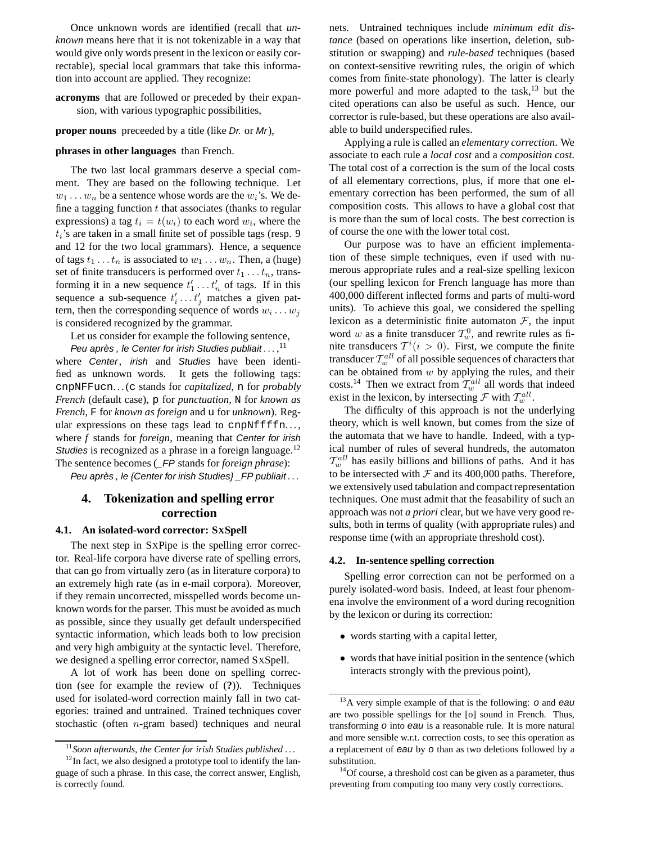Once unknown words are identified (recall that *unknown* means here that it is not tokenizable in a way that would give only words present in the lexicon or easily correctable), special local grammars that take this information into account are applied. They recognize:

**acronyms** that are followed or preceded by their expansion, with various typographic possibilities,

#### **proper nouns** preceeded by a title (like *Dr.* or *Mr*),

#### **phrases in other languages** than French.

The two last local grammars deserve a special comment. They are based on the following technique. Let  $w_1 \dots w_n$  be a sentence whose words are the  $w_i$ 's. We define a tagging function  $t$  that associates (thanks to regular expressions) a tag  $t_i = t(w_i)$  to each word  $w_i$ , where the  $t_i$ 's are taken in a small finite set of possible tags (resp. 9 and 12 for the two local grammars). Hence, a sequence of tags  $t_1 \ldots t_n$  is associated to  $w_1 \ldots w_n$ . Then, a (huge) set of finite transducers is performed over  $t_1 \ldots t_n$ , transforming it in a new sequence  $t'_1 \dots t'_n$  of tags. If in this sequence a sub-sequence  $t'_i \dots t'_j$  matches a given pattern, then the corresponding sequence of words  $w_i \dots w_j$ is considered recognized by the grammar.

Let us consider for example the following sentence,

Peu après, le Center for irish Studies publiait  $\dots$ ,  $^{11}$ where Center, irish and Studies have been identified as unknown words. It gets the following tags: cnpNFFucn. . . (c stands for *capitalized*, n for *probably French* (default case), p for *punctuation*, N for *known as French*, F for *known as foreign* and u for *unknown*). Regular expressions on these tags lead to cnp $Nffffn...$ , where *f* stands for *foreign*, meaning that Center for irish Studies is recognized as a phrase in a foreign language. $12$ The sentence becomes (\_FP stands for *foreign phrase*):

Peu après, le {Center for irish Studies} \_FP publiait...

## **4. Tokenization and spelling error correction**

#### **4.1. An isolated-word corrector: SXSpell**

The next step in SXPipe is the spelling error corrector. Real-life corpora have diverse rate of spelling errors, that can go from virtually zero (as in literature corpora) to an extremely high rate (as in e-mail corpora). Moreover, if they remain uncorrected, misspelled words become unknown words for the parser. This must be avoided as much as possible, since they usually get default underspecified syntactic information, which leads both to low precision and very high ambiguity at the syntactic level. Therefore, we designed a spelling error corrector, named SXSpell.

A lot of work has been done on spelling correction (see for example the review of (**?**)). Techniques used for isolated-word correction mainly fall in two categories: trained and untrained. Trained techniques cover stochastic (often  $n$ -gram based) techniques and neural nets. Untrained techniques include *minimum edit distance* (based on operations like insertion, deletion, substitution or swapping) and *rule-based* techniques (based on context-sensitive rewriting rules, the origin of which comes from finite-state phonology). The latter is clearly more powerful and more adapted to the task,<sup>13</sup> but the cited operations can also be useful as such. Hence, our corrector is rule-based, but these operations are also available to build underspecified rules.

Applying a rule is called an *elementary correction*. We associate to each rule a *local cost* and a *composition cost*. The total cost of a correction is the sum of the local costs of all elementary corrections, plus, if more that one elementary correction has been performed, the sum of all composition costs. This allows to have a global cost that is more than the sum of local costs. The best correction is of course the one with the lower total cost.

Our purpose was to have an efficient implementation of these simple techniques, even if used with numerous appropriate rules and a real-size spelling lexicon (our spelling lexicon for French language has more than 400,000 different inflected forms and parts of multi-word units). To achieve this goal, we considered the spelling lexicon as a deterministic finite automaton  $\mathcal{F}$ , the input word w as a finite transducer  $\mathcal{T}_{w}^{0}$ , and rewrite rules as finite transducers  $T^i(i > 0)$ . First, we compute the finite transducer  $\mathcal{T}^{all}_{w}$  of all possible sequences of characters that can be obtained from  $w$  by applying the rules, and their costs.<sup>14</sup> Then we extract from  $\mathcal{T}^{all}_{w}$  all words that indeed exist in the lexicon, by intersecting  $\mathcal F$  with  $\mathcal T_w^{all}$ .

The difficulty of this approach is not the underlying theory, which is well known, but comes from the size of the automata that we have to handle. Indeed, with a typical number of rules of several hundreds, the automaton  $\mathcal{T}^{all}_{w}$  has easily billions and billions of paths. And it has to be intersected with  $\mathcal F$  and its 400,000 paths. Therefore, we extensively used tabulation and compact representation techniques. One must admit that the feasability of such an approach was not *a priori* clear, but we have very good results, both in terms of quality (with appropriate rules) and response time (with an appropriate threshold cost).

#### **4.2. In-sentence spelling correction**

Spelling error correction can not be performed on a purely isolated-word basis. Indeed, at least four phenomena involve the environment of a word during recognition by the lexicon or during its correction:

- words starting with a capital letter,
- words that have initial position in the sentence (which interacts strongly with the previous point),

<sup>11</sup>*Soon afterwards, the Center for irish Studies published . . .*

 $12$ In fact, we also designed a prototype tool to identify the language of such a phrase. In this case, the correct answer, English, is correctly found.

 $13A$  very simple example of that is the following: o and eau are two possible spellings for the [o] sound in French. Thus, transforming o into eau is a reasonable rule. It is more natural and more sensible w.r.t. correction costs, to see this operation as a replacement of eau by o than as two deletions followed by a substitution.

 $14$ Of course, a threshold cost can be given as a parameter, thus preventing from computing too many very costly corrections.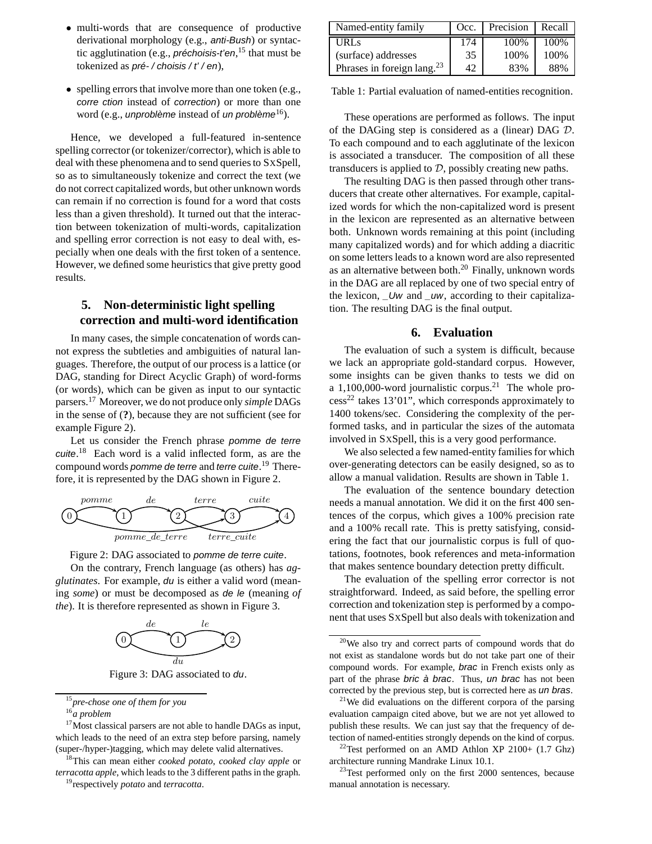- multi-words that are consequence of productive derivational morphology (e.g., anti-Bush) or syntactic agglutination (e.g., *préchoisis-t'en*, <sup>15</sup> that must be tokenized as  $\pi$ ré-/choisis/ $t'/en$ ),
- spelling errors that involve more than one token (e.g., corre ction instead of correction) or more than one word (e.g., *unproblème* instead of *un problème*<sup>16</sup>).

Hence, we developed a full-featured in-sentence spelling corrector (or tokenizer/corrector), which is able to deal with these phenomena and to send queries to SXSpell, so as to simultaneously tokenize and correct the text (we do not correct capitalized words, but other unknown words can remain if no correction is found for a word that costs less than a given threshold). It turned out that the interaction between tokenization of multi-words, capitalization and spelling error correction is not easy to deal with, especially when one deals with the first token of a sentence. However, we defined some heuristics that give pretty good results.

## **5. Non-deterministic light spelling correction and multi-word identification**

In many cases, the simple concatenation of words cannot express the subtleties and ambiguities of natural languages. Therefore, the output of our process is a lattice (or DAG, standing for Direct Acyclic Graph) of word-forms (or words), which can be given as input to our syntactic parsers.<sup>17</sup> Moreover, we do not produce only *simple* DAGs in the sense of (**?**), because they are not sufficient (see for example Figure 2).

Let us consider the French phrase pomme de terre cuite.<sup>18</sup> Each word is a valid inflected form, as are the compound words *pomme de terre* and *terre cuite*.<sup>19</sup> Therefore, it is represented by the DAG shown in Figure 2.





On the contrary, French language (as others) has *agglutinates*. For example, du is either a valid word (meaning *some*) or must be decomposed as de le (meaning *of the*). It is therefore represented as shown in Figure 3.



Figure 3: DAG associated to du.

<sup>18</sup>This can mean either *cooked potato*, *cooked clay apple* or *terracotta apple*, which leads to the 3 different paths in the graph.

<sup>19</sup>respectively *potato* and *terracotta*.

| Named-entity family              | Occ. | Precision | Recall |
|----------------------------------|------|-----------|--------|
| URL <sub>S</sub>                 | 174  | 100\%     | 100%   |
| (surface) addresses              | 35   | 100%      | 100%   |
| Phrases in foreign lang. $^{23}$ | 42   | 83%       | 88%    |

Table 1: Partial evaluation of named-entities recognition.

These operations are performed as follows. The input of the DAGing step is considered as a (linear) DAG D. To each compound and to each agglutinate of the lexicon is associated a transducer. The composition of all these transducers is applied to  $D$ , possibly creating new paths.

The resulting DAG is then passed through other transducers that create other alternatives. For example, capitalized words for which the non-capitalized word is present in the lexicon are represented as an alternative between both. Unknown words remaining at this point (including many capitalized words) and for which adding a diacritic on some letters leads to a known word are also represented as an alternative between both. $20$  Finally, unknown words in the DAG are all replaced by one of two special entry of the lexicon,  $Uw$  and  $uw$ , according to their capitalization. The resulting DAG is the final output.

#### **6. Evaluation**

The evaluation of such a system is difficult, because we lack an appropriate gold-standard corpus. However, some insights can be given thanks to tests we did on a 1,100,000-word journalistic corpus.<sup>21</sup> The whole pro $cess^{22}$  takes 13'01", which corresponds approximately to 1400 tokens/sec. Considering the complexity of the performed tasks, and in particular the sizes of the automata involved in SXSpell, this is a very good performance.

We also selected a few named-entity families for which over-generating detectors can be easily designed, so as to allow a manual validation. Results are shown in Table 1.

The evaluation of the sentence boundary detection needs a manual annotation. We did it on the first 400 sentences of the corpus, which gives a 100% precision rate and a 100% recall rate. This is pretty satisfying, considering the fact that our journalistic corpus is full of quotations, footnotes, book references and meta-information that makes sentence boundary detection pretty difficult.

The evaluation of the spelling error corrector is not straightforward. Indeed, as said before, the spelling error correction and tokenization step is performed by a component that uses SXSpell but also deals with tokenization and

<sup>15</sup>*pre-chose one of them for you*

<sup>16</sup>*a problem*

<sup>&</sup>lt;sup>17</sup>Most classical parsers are not able to handle DAGs as input, which leads to the need of an extra step before parsing, namely (super-/hyper-)tagging, which may delete valid alternatives.

<sup>20</sup>We also try and correct parts of compound words that do not exist as standalone words but do not take part one of their compound words. For example, brac in French exists only as part of the phrase bric à brac. Thus, un brac has not been corrected by the previous step, but is corrected here as un bras.

<sup>&</sup>lt;sup>21</sup>We did evaluations on the different corpora of the parsing evaluation campaign cited above, but we are not yet allowed to publish these results. We can just say that the frequency of detection of named-entities strongly depends on the kind of corpus.

<sup>&</sup>lt;sup>22</sup>Test performed on an AMD Athlon XP 2100+  $(1.7 \text{ Ghz})$ architecture running Mandrake Linux 10.1.

 $23$ Test performed only on the first 2000 sentences, because manual annotation is necessary.